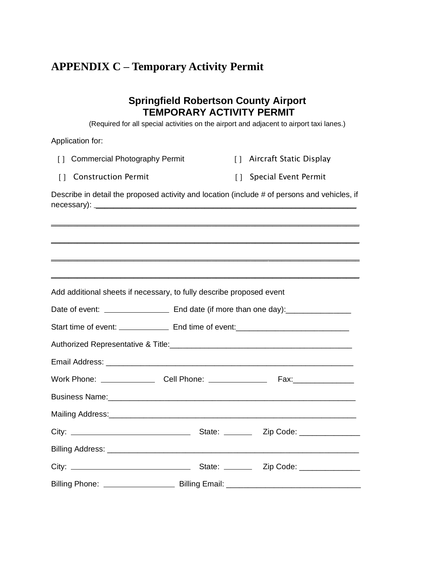## **APPENDIX C – Temporary Activity Permit**

## **Springfield Robertson County Airport TEMPORARY ACTIVITY PERMIT**

(Required for all special activities on the airport and adjacent to airport taxi lanes.)

Application for:

| [] Commercial Photography Permit | [] Aircraft Static Display |
|----------------------------------|----------------------------|
|                                  |                            |

| [] Construction Permit | [] Special Event Permit |
|------------------------|-------------------------|
|------------------------|-------------------------|

Describe in detail the proposed activity and location (include # of persons and vehicles, if necessary): \_\_\_\_\_\_\_\_\_\_\_\_\_\_\_\_\_\_\_\_\_\_\_\_\_\_\_\_\_\_\_\_\_\_\_\_\_\_\_\_\_\_\_\_\_\_\_\_\_\_\_\_\_\_\_\_\_\_\_\_

\_\_\_\_\_\_\_\_\_\_\_\_\_\_\_\_\_\_\_\_\_\_\_\_\_\_\_\_\_\_\_\_\_\_\_\_\_\_\_\_\_\_\_\_\_\_\_\_\_\_\_\_\_\_\_\_\_\_\_\_\_\_\_\_\_\_\_\_\_\_\_

\_\_\_\_\_\_\_\_\_\_\_\_\_\_\_\_\_\_\_\_\_\_\_\_\_\_\_\_\_\_\_\_\_\_\_\_\_\_\_\_\_\_\_\_\_\_\_\_\_\_\_\_\_\_\_\_\_\_\_\_\_\_\_\_\_\_\_\_\_\_\_

| Add additional sheets if necessary, to fully describe proposed event |  |
|----------------------------------------------------------------------|--|
|                                                                      |  |
|                                                                      |  |
|                                                                      |  |
|                                                                      |  |
|                                                                      |  |
|                                                                      |  |
|                                                                      |  |
|                                                                      |  |
|                                                                      |  |
|                                                                      |  |
|                                                                      |  |